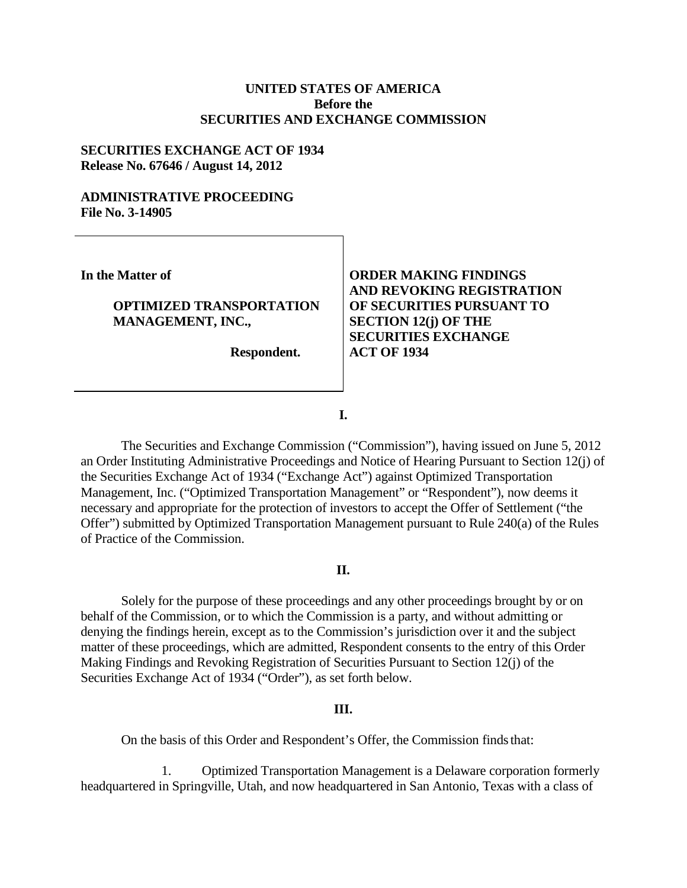## **UNITED STATES OF AMERICA Before the SECURITIES AND EXCHANGE COMMISSION**

#### **SECURITIES EXCHANGE ACT OF 1934 Release No. 67646 / August 14, 2012**

## **ADMINISTRATIVE PROCEEDING File No. 3-14905**

**In the Matter of**

## **OPTIMIZED TRANSPORTATION MANAGEMENT, INC.,**

 **Respondent.**

# **ORDER MAKING FINDINGS AND REVOKING REGISTRATION OF SECURITIES PURSUANT TO SECTION 12(j) OF THE SECURITIES EXCHANGE ACT OF 1934**

**I.**

The Securities and Exchange Commission ("Commission"), having issued on June 5, 2012 an Order Instituting Administrative Proceedings and Notice of Hearing Pursuant to Section 12(j) of the Securities Exchange Act of 1934 ("Exchange Act") against Optimized Transportation Management, Inc. ("Optimized Transportation Management" or "Respondent"), now deems it necessary and appropriate for the protection of investors to accept the Offer of Settlement ("the Offer") submitted by Optimized Transportation Management pursuant to Rule 240(a) of the Rules of Practice of the Commission.

#### **II.**

Solely for the purpose of these proceedings and any other proceedings brought by or on behalf of the Commission, or to which the Commission is a party, and without admitting or denying the findings herein, except as to the Commission's jurisdiction over it and the subject matter of these proceedings, which are admitted, Respondent consents to the entry of this Order Making Findings and Revoking Registration of Securities Pursuant to Section 12(j) of the Securities Exchange Act of 1934 ("Order"), as set forth below.

## **III.**

On the basis of this Order and Respondent's Offer, the Commission finds that:

1. Optimized Transportation Management is a Delaware corporation formerly headquartered in Springville, Utah, and now headquartered in San Antonio, Texas with a class of